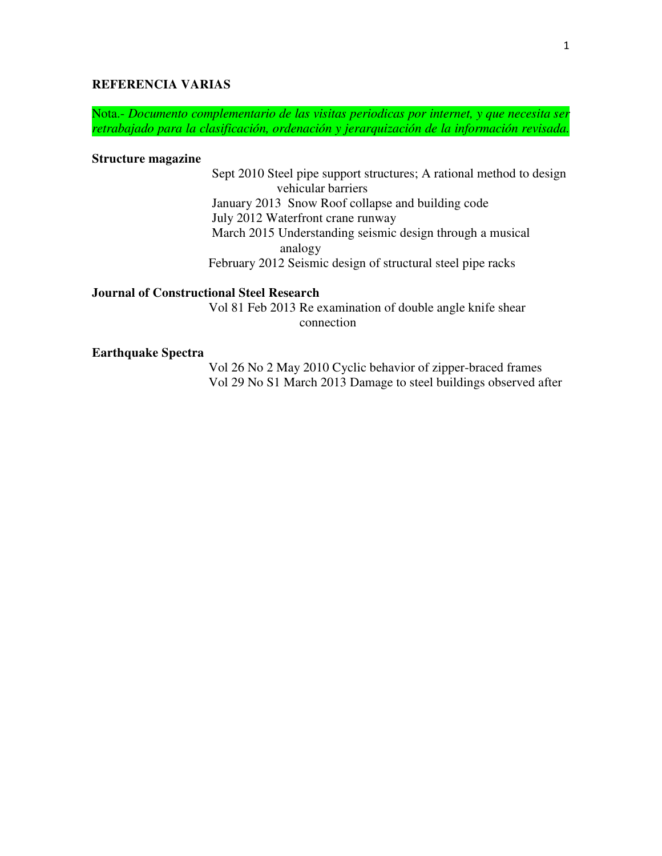## **REFERENCIA VARIAS**

Nota.- *Documento complementario de las visitas periodicas por internet, y que necesita ser retrabajado para la clasificación, ordenación y jerarquización de la información revisada.* 

#### **Structure magazine**

Sept 2010 Steel pipe support structures; A rational method to design vehicular barriers January 2013 Snow Roof collapse and building code July 2012 Waterfront crane runway March 2015 Understanding seismic design through a musical analogy February 2012 Seismic design of structural steel pipe racks

### **Journal of Constructional Steel Research**

 Vol 81 Feb 2013 Re examination of double angle knife shear connection

#### **Earthquake Spectra**

 Vol 26 No 2 May 2010 Cyclic behavior of zipper-braced frames Vol 29 No S1 March 2013 Damage to steel buildings observed after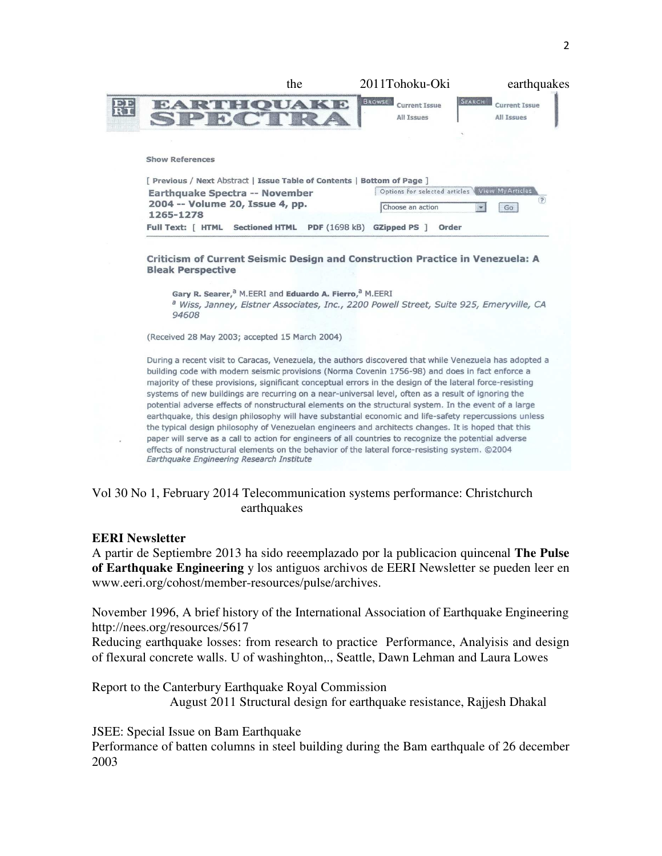|    | the                                                                   | 2011Tohoku-Oki                                      | earthquakes                                         |
|----|-----------------------------------------------------------------------|-----------------------------------------------------|-----------------------------------------------------|
| EE | SPECTRA                                                               | <b>BROWSE</b><br><b>Current Issue</b><br>All Issues | SEARCH<br><b>Current Issue</b><br><b>All Issues</b> |
|    |                                                                       |                                                     |                                                     |
|    | <b>Show References</b>                                                |                                                     |                                                     |
|    | Previous / Next Abstract   Issue Table of Contents   Bottom of Page ] |                                                     |                                                     |
|    | Earthquake Spectra -- November                                        | Options for selected articles Wiew My Articles      | (?)                                                 |
|    | 2004 -- Volume 20, Issue 4, pp.<br>1265-1278                          | Choose an action                                    | Go                                                  |

Criticism of Current Seismic Design and Construction Practice in Venezuela: A **Bleak Perspective** 

Gary R. Searer,<sup>a</sup> M.EERI and Eduardo A. Fierro,<sup>a</sup> M.EERI <sup>a</sup> Wiss, Janney, Elstner Associates, Inc., 2200 Powell Street, Suite 925, Emeryville, CA 94608

(Received 28 May 2003; accepted 15 March 2004)

During a recent visit to Caracas, Venezuela, the authors discovered that while Venezuela has adopted a building code with modern seismic provisions (Norma Covenin 1756-98) and does in fact enforce a majority of these provisions, significant conceptual errors in the design of the lateral force-resisting systems of new buildings are recurring on a near-universal level, often as a result of ignoring the potential adverse effects of nonstructural elements on the structural system. In the event of a large earthquake, this design philosophy will have substantial economic and life-safety repercussions unless the typical design philosophy of Venezuelan engineers and architects changes. It is hoped that this paper will serve as a call to action for engineers of all countries to recognize the potential adverse effects of nonstructural elements on the behavior of the lateral force-resisting system. ©2004 Earthquake Engineering Research Institute

### Vol 30 No 1, February 2014 Telecommunication systems performance: Christchurch earthquakes

#### **EERI Newsletter**

A partir de Septiembre 2013 ha sido reeemplazado por la publicacion quincenal **The Pulse of Earthquake Engineering** y los antiguos archivos de EERI Newsletter se pueden leer en www.eeri.org/cohost/member-resources/pulse/archives.

November 1996, A brief history of the International Association of Earthquake Engineering http://nees.org/resources/5617

Reducing earthquake losses: from research to practice Performance, Analyisis and design of flexural concrete walls. U of washinghton,., Seattle, Dawn Lehman and Laura Lowes

Report to the Canterbury Earthquake Royal Commission August 2011 Structural design for earthquake resistance, Rajjesh Dhakal

JSEE: Special Issue on Bam Earthquake

Performance of batten columns in steel building during the Bam earthquale of 26 december 2003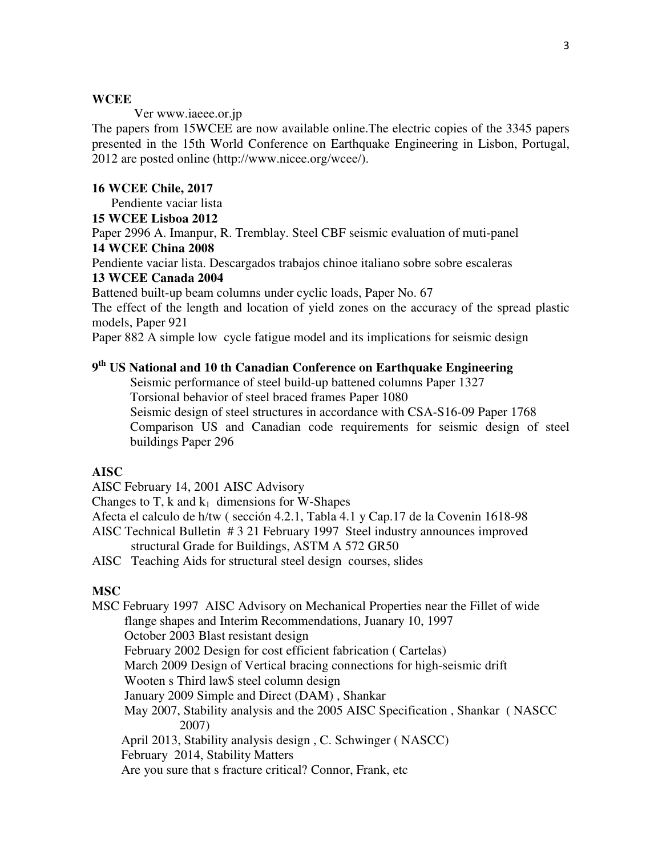#### **WCEE**

Ver www.iaeee.or.jp

The papers from 15WCEE are now available online.The electric copies of the 3345 papers presented in the 15th World Conference on Earthquake Engineering in Lisbon, Portugal, 2012 are posted online (http://www.nicee.org/wcee/).

#### **16 WCEE Chile, 2017**

Pendiente vaciar lista

#### **15 WCEE Lisboa 2012**

Paper 2996 A. Imanpur, R. Tremblay. Steel CBF seismic evaluation of muti-panel

## **14 WCEE China 2008**

Pendiente vaciar lista. Descargados trabajos chinoe italiano sobre sobre escaleras **13 WCEE Canada 2004** 

Battened built-up beam columns under cyclic loads, Paper No. 67

The effect of the length and location of yield zones on the accuracy of the spread plastic models, Paper 921

Paper 882 A simple low cycle fatigue model and its implications for seismic design

# **9 th US National and 10 th Canadian Conference on Earthquake Engineering**

Seismic performance of steel build-up battened columns Paper 1327 Torsional behavior of steel braced frames Paper 1080 Seismic design of steel structures in accordance with CSA-S16-09 Paper 1768 Comparison US and Canadian code requirements for seismic design of steel buildings Paper 296

#### **AISC**

AISC February 14, 2001 AISC Advisory

Changes to T, k and  $k_1$  dimensions for W-Shapes

Afecta el calculo de h/tw ( sección 4.2.1, Tabla 4.1 y Cap.17 de la Covenin 1618-98

AISC Technical Bulletin # 3 21 February 1997 Steel industry announces improved structural Grade for Buildings, ASTM A 572 GR50

AISC Teaching Aids for structural steel design courses, slides

## **MSC**

MSC February 1997 AISC Advisory on Mechanical Properties near the Fillet of wide flange shapes and Interim Recommendations, Juanary 10, 1997 October 2003 Blast resistant design February 2002 Design for cost efficient fabrication ( Cartelas) March 2009 Design of Vertical bracing connections for high-seismic drift Wooten s Third law\$ steel column design January 2009 Simple and Direct (DAM) , Shankar May 2007, Stability analysis and the 2005 AISC Specification , Shankar ( NASCC 2007) April 2013, Stability analysis design , C. Schwinger ( NASCC) February 2014, Stability Matters Are you sure that s fracture critical? Connor, Frank, etc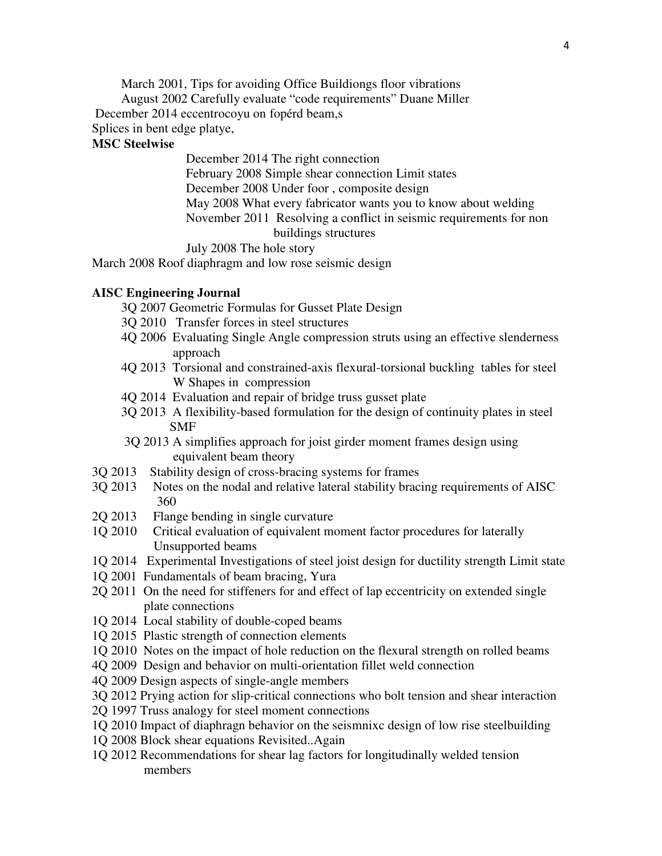March 2001, Tips for avoiding Office Buildiongs floor vibrations

August 2002 Carefully evaluate "code requirements" Duane Miller

December 2014 eccentrocoyu on fopérd beam,s

Splices in bent edge platye,

## **MSC Steelwise**

 December 2014 The right connection February 2008 Simple shear connection Limit states December 2008 Under foor , composite design May 2008 What every fabricator wants you to know about welding November 2011 Resolving a conflict in seismic requirements for non buildings structures

July 2008 The hole story

March 2008 Roof diaphragm and low rose seismic design

### **AISC Engineering Journal**

3Q 2007 Geometric Formulas for Gusset Plate Design

- 3Q 2010 Transfer forces in steel structures
- 4Q 2006 Evaluating Single Angle compression struts using an effective slenderness approach
- 4Q 2013 Torsional and constrained-axis flexural-torsional buckling tables for steel W Shapes in compression
- 4Q 2014 Evaluation and repair of bridge truss gusset plate
- 3Q 2013 A flexibility-based formulation for the design of continuity plates in steel SMF
- 3Q 2013 A simplifies approach for joist girder moment frames design using equivalent beam theory
- 3Q 2013 Stability design of cross-bracing systems for frames
- 3Q 2013 Notes on the nodal and relative lateral stability bracing requirements of AISC 360
- 2Q 2013 Flange bending in single curvature
- 1Q 2010 Critical evaluation of equivalent moment factor procedures for laterally Unsupported beams
- 1Q 2014 Experimental Investigations of steel joist design for ductility strength Limit state
- 1Q 2001 Fundamentals of beam bracing, Yura
- 2Q 2011 On the need for stiffeners for and effect of lap eccentricity on extended single plate connections
- 1Q 2014 Local stability of double-coped beams
- 1Q 2015 Plastic strength of connection elements
- 1Q 2010 Notes on the impact of hole reduction on the flexural strength on rolled beams
- 4Q 2009 Design and behavior on multi-orientation fillet weld connection
- 4Q 2009 Design aspects of single-angle members
- 3Q 2012 Prying action for slip-critical connections who bolt tension and shear interaction
- 2Q 1997 Truss analogy for steel moment connections
- 1Q 2010 Impact of diaphragn behavior on the seismnixc design of low rise steelbuilding
- 1Q 2008 Block shear equations Revisited..Again
- 1Q 2012 Recommendations for shear lag factors for longitudinally welded tension members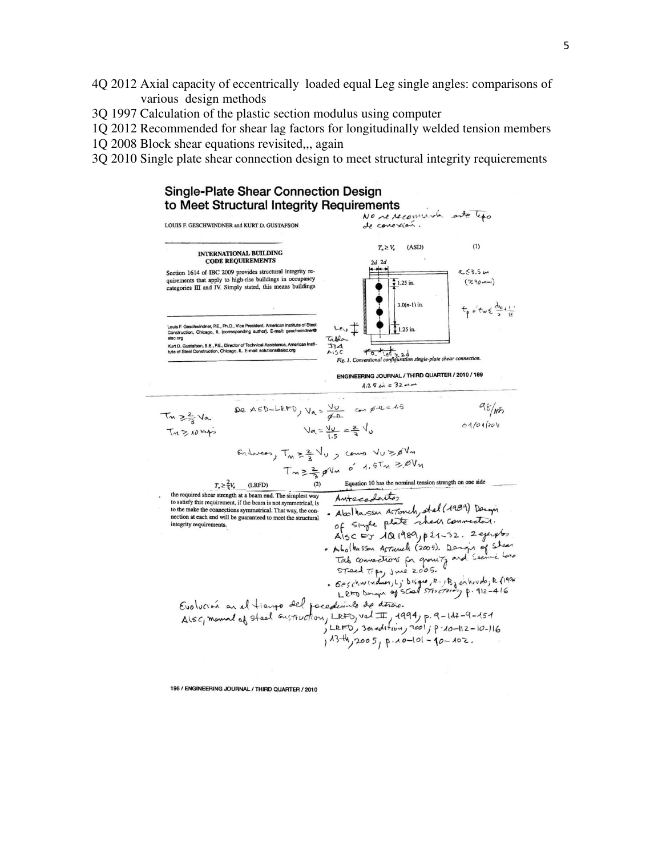- 4Q 2012 Axial capacity of eccentrically loaded equal Leg single angles: comparisons of various design methods
- 3Q 1997 Calculation of the plastic section modulus using computer
- 1Q 2012 Recommended for shear lag factors for longitudinally welded tension members
- 1Q 2008 Block shear equations revisited,,, again
- 3Q 2010 Single plate shear connection design to meet structural integrity requierements



196 / ENGINEERING JOURNAL / THIRD QUARTER / 2010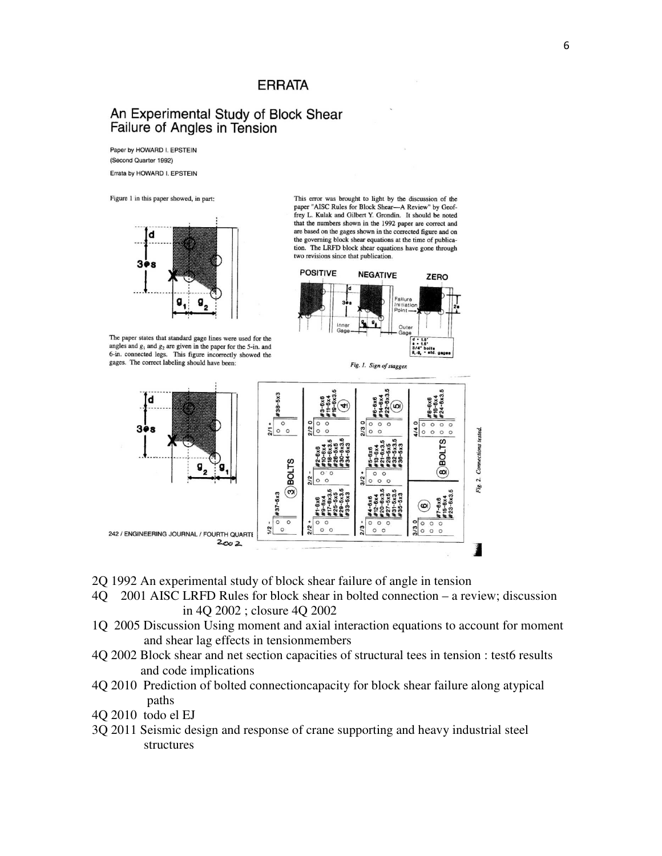## **ERRATA**

## An Experimental Study of Block Shear Failure of Angles in Tension

Paper by HOWARD I. EPSTEIN (Second Quarter 1992) Errata by HOWARD I. EPSTEIN

Figure 1 in this paper showed, in part:



The paper states that standard gage lines were used for the angles and  $g_1$  and  $g_2$  are given in the paper for the 5-in. and 6-in. connected legs. This figure incorrectly showed the gages. The correct labeling should have been:

This error was brought to light by the discussion of the paper "AISC Rules for Block Shear—A Review" by Geoffrey L. Kulak and Gilbert Y. Grondin. It should be noted that the numbers shown in the 1992 paper are correct and are based on the gages shown in the corrected figure and on the governing block shear equations at the time of publication. The LRFD block shear equations have gone through two revisions since that publication.



Fig. 1. Sign of stagger.

 $#38 - 5x3$ <u>lo</u>  $\circ$  $\circ$  $\circ$  $\circ$  $\frac{1}{2}$  0 0 3  $\circ$  $0<sub>0</sub>$ Connections tested. ဖ LTOst BOLT<sub>S</sub>  $\mathbf{g}_{_2}$ (co) Fig. 2.  $\circ$  $\circledcirc$  $#37 - 5x3$  $\circ$  $\circ$  $\circ$  $\circ$  $\circ$  $\circ$  $\circ$  $\circ$  $\circ$  $\frac{1}{2}$  $\circ$  $\circ$  $\frac{2}{3}$  $\circ$   $\circ$  $\frac{3}{2}$  0 0 0  $\circ$ 242 / ENGINEERING JOURNAL / FOURTH QUARTE  $2002$ j

- 2Q 1992 An experimental study of block shear failure of angle in tension
- 4Q 2001 AISC LRFD Rules for block shear in bolted connection a review; discussion in 4Q 2002 ; closure 4Q 2002
- 1Q 2005 Discussion Using moment and axial interaction equations to account for moment and shear lag effects in tensionmembers
- 4Q 2002 Block shear and net section capacities of structural tees in tension : test6 results and code implications
- 4Q 2010 Prediction of bolted connectioncapacity for block shear failure along atypical paths
- 4Q 2010 todo el EJ
- 3Q 2011 Seismic design and response of crane supporting and heavy industrial steel structures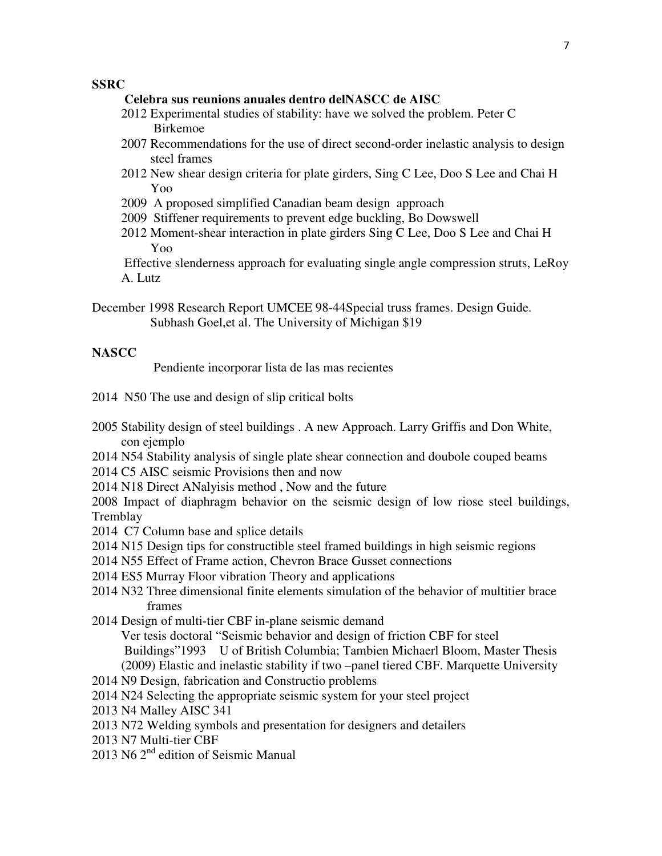#### **SSRC**

- **Celebra sus reunions anuales dentro delNASCC de AISC**
- 2012 Experimental studies of stability: have we solved the problem. Peter C Birkemoe
- 2007 Recommendations for the use of direct second-order inelastic analysis to design steel frames
- 2012 New shear design criteria for plate girders, Sing C Lee, Doo S Lee and Chai H Yoo
- 2009 A proposed simplified Canadian beam design approach
- 2009 Stiffener requirements to prevent edge buckling, Bo Dowswell
- 2012 Moment-shear interaction in plate girders Sing C Lee, Doo S Lee and Chai H Yoo

 Effective slenderness approach for evaluating single angle compression struts, LeRoy A. Lutz

December 1998 Research Report UMCEE 98-44Special truss frames. Design Guide. Subhash Goel,et al. The University of Michigan \$19

#### **NASCC**

Pendiente incorporar lista de las mas recientes

- 2014 N50 The use and design of slip critical bolts
- 2005 Stability design of steel buildings . A new Approach. Larry Griffis and Don White, con ejemplo
- 2014 N54 Stability analysis of single plate shear connection and doubole couped beams
- 2014 C5 AISC seismic Provisions then and now
- 2014 N18 Direct ANalyisis method , Now and the future
- 2008 Impact of diaphragm behavior on the seismic design of low riose steel buildings, **Tremblay**
- 2014 C7 Column base and splice details
- 2014 N15 Design tips for constructible steel framed buildings in high seismic regions
- 2014 N55 Effect of Frame action, Chevron Brace Gusset connections
- 2014 ES5 Murray Floor vibration Theory and applications
- 2014 N32 Three dimensional finite elements simulation of the behavior of multitier brace frames
- 2014 Design of multi-tier CBF in-plane seismic demand
	- Ver tesis doctoral "Seismic behavior and design of friction CBF for steel Buildings"1993 U of British Columbia; Tambien Michaerl Bloom, Master Thesis (2009) Elastic and inelastic stability if two –panel tiered CBF. Marquette University
- 2014 N9 Design, fabrication and Constructio problems
- 2014 N24 Selecting the appropriate seismic system for your steel project
- 2013 N4 Malley AISC 341
- 2013 N72 Welding symbols and presentation for designers and detailers
- 2013 N7 Multi-tier CBF
- 2013 N6 2<sup>nd</sup> edition of Seismic Manual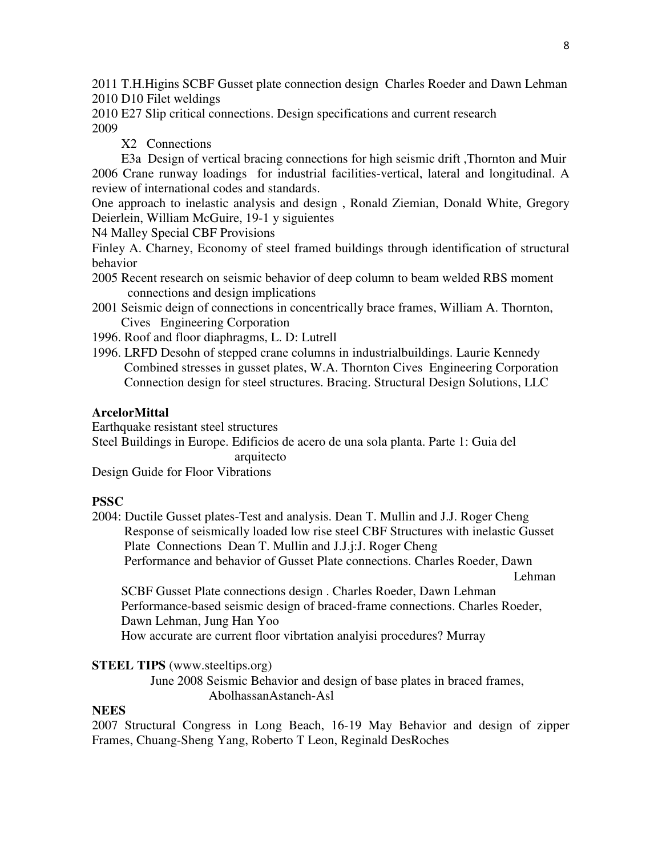2011 T.H.Higins SCBF Gusset plate connection design Charles Roeder and Dawn Lehman 2010 D10 Filet weldings

2010 E27 Slip critical connections. Design specifications and current research 2009

X2 Connections

 E3a Design of vertical bracing connections for high seismic drift ,Thornton and Muir 2006 Crane runway loadings for industrial facilities-vertical, lateral and longitudinal. A review of international codes and standards.

One approach to inelastic analysis and design , Ronald Ziemian, Donald White, Gregory Deierlein, William McGuire, 19-1 y siguientes

N4 Malley Special CBF Provisions

Finley A. Charney, Economy of steel framed buildings through identification of structural behavior

- 2005 Recent research on seismic behavior of deep column to beam welded RBS moment connections and design implications
- 2001 Seismic deign of connections in concentrically brace frames, William A. Thornton, Cives Engineering Corporation

1996. Roof and floor diaphragms, L. D: Lutrell

1996. LRFD Desohn of stepped crane columns in industrialbuildings. Laurie Kennedy Combined stresses in gusset plates, W.A. Thornton Cives Engineering Corporation Connection design for steel structures. Bracing. Structural Design Solutions, LLC

### **ArcelorMittal**

Earthquake resistant steel structures

Steel Buildings in Europe. Edificios de acero de una sola planta. Parte 1: Guia del arquitecto

Design Guide for Floor Vibrations

#### **PSSC**

2004: Ductile Gusset plates-Test and analysis. Dean T. Mullin and J.J. Roger Cheng Response of seismically loaded low rise steel CBF Structures with inelastic Gusset Plate Connections Dean T. Mullin and J.J.j:J. Roger Cheng Performance and behavior of Gusset Plate connections. Charles Roeder, Dawn

Lehman

 SCBF Gusset Plate connections design . Charles Roeder, Dawn Lehman Performance-based seismic design of braced-frame connections. Charles Roeder, Dawn Lehman, Jung Han Yoo

How accurate are current floor vibrtation analyisi procedures? Murray

### **STEEL TIPS** (www.steeltips.org)

 June 2008 Seismic Behavior and design of base plates in braced frames, AbolhassanAstaneh-Asl

#### **NEES**

2007 Structural Congress in Long Beach, 16-19 May Behavior and design of zipper Frames, Chuang-Sheng Yang, Roberto T Leon, Reginald DesRoches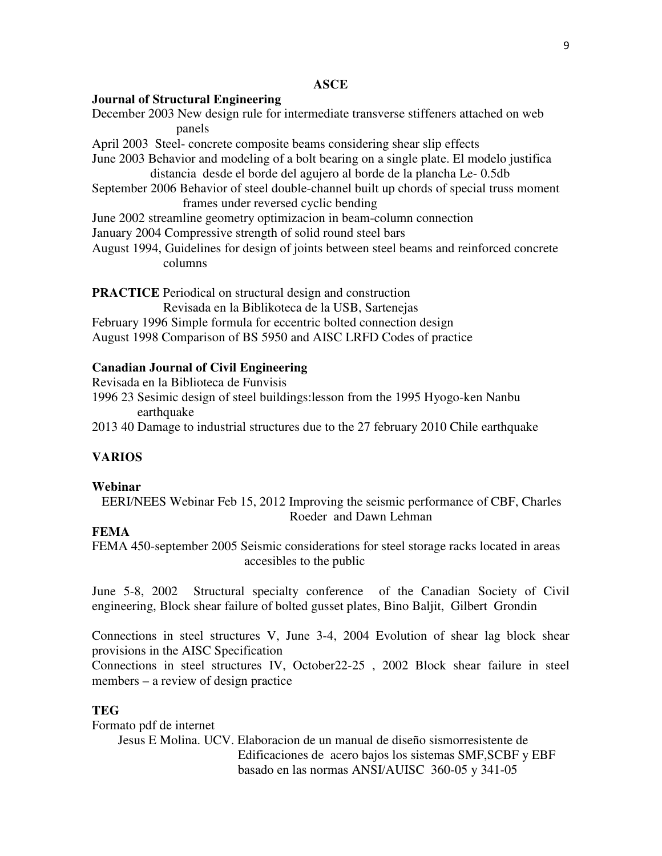#### **ASCE**

#### **Journal of Structural Engineering**

December 2003 New design rule for intermediate transverse stiffeners attached on web panels

April 2003 Steel- concrete composite beams considering shear slip effects

June 2003 Behavior and modeling of a bolt bearing on a single plate. El modelo justifica distancia desde el borde del agujero al borde de la plancha Le- 0.5db

September 2006 Behavior of steel double-channel built up chords of special truss moment frames under reversed cyclic bending

June 2002 streamline geometry optimizacion in beam-column connection

- January 2004 Compressive strength of solid round steel bars
- August 1994, Guidelines for design of joints between steel beams and reinforced concrete columns

**PRACTICE** Periodical on structural design and construction

Revisada en la Biblikoteca de la USB, Sartenejas

February 1996 Simple formula for eccentric bolted connection design August 1998 Comparison of BS 5950 and AISC LRFD Codes of practice

#### **Canadian Journal of Civil Engineering**

Revisada en la Biblioteca de Funvisis

1996 23 Sesimic design of steel buildings:lesson from the 1995 Hyogo-ken Nanbu earthquake

2013 40 Damage to industrial structures due to the 27 february 2010 Chile earthquake

### **VARIOS**

#### **Webinar**

 EERI/NEES Webinar Feb 15, 2012 Improving the seismic performance of CBF, Charles Roeder and Dawn Lehman

## **FEMA**

FEMA 450-september 2005 Seismic considerations for steel storage racks located in areas accesibles to the public

June 5-8, 2002 Structural specialty conference of the Canadian Society of Civil engineering, Block shear failure of bolted gusset plates, Bino Baljit, Gilbert Grondin

Connections in steel structures V, June 3-4, 2004 Evolution of shear lag block shear provisions in the AISC Specification

Connections in steel structures IV, October22-25 , 2002 Block shear failure in steel members – a review of design practice

#### **TEG**

Formato pdf de internet Jesus E Molina. UCV. Elaboracion de un manual de diseño sismorresistente de Edificaciones de acero bajos los sistemas SMF,SCBF y EBF basado en las normas ANSI/AUISC 360-05 y 341-05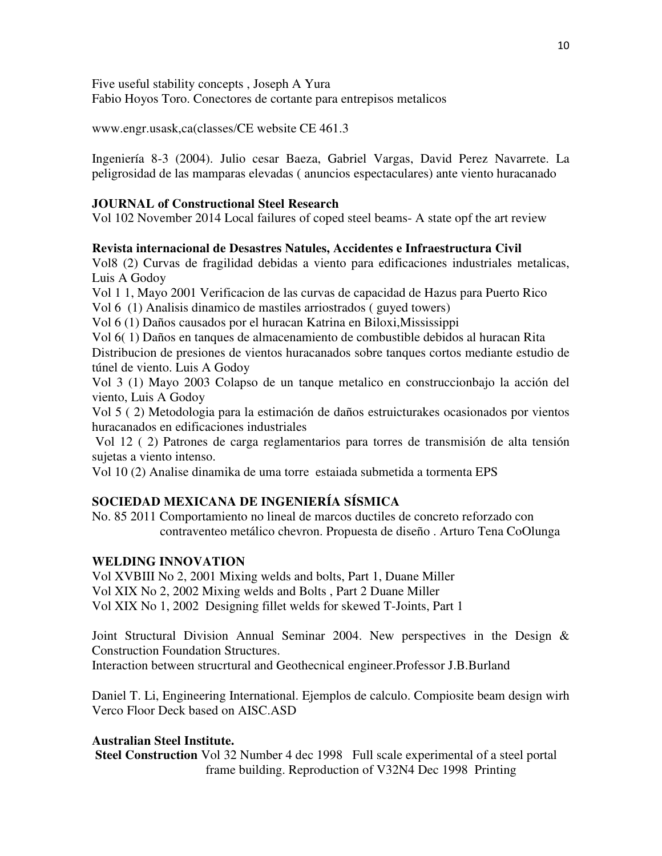Five useful stability concepts , Joseph A Yura

Fabio Hoyos Toro. Conectores de cortante para entrepisos metalicos

www.engr.usask,ca(classes/CE website CE 461.3

Ingeniería 8-3 (2004). Julio cesar Baeza, Gabriel Vargas, David Perez Navarrete. La peligrosidad de las mamparas elevadas ( anuncios espectaculares) ante viento huracanado

## **JOURNAL of Constructional Steel Research**

Vol 102 November 2014 Local failures of coped steel beams- A state opf the art review

## **Revista internacional de Desastres Natules, Accidentes e Infraestructura Civil**

Vol8 (2) Curvas de fragilidad debidas a viento para edificaciones industriales metalicas, Luis A Godoy

Vol 1 1, Mayo 2001 Verificacion de las curvas de capacidad de Hazus para Puerto Rico

Vol 6 (1) Analisis dinamico de mastiles arriostrados ( guyed towers)

Vol 6 (1) Daños causados por el huracan Katrina en Biloxi,Mississippi

Vol 6( 1) Daños en tanques de almacenamiento de combustible debidos al huracan Rita Distribucion de presiones de vientos huracanados sobre tanques cortos mediante estudio de túnel de viento. Luis A Godoy

Vol 3 (1) Mayo 2003 Colapso de un tanque metalico en construccionbajo la acción del viento, Luis A Godoy

Vol 5 ( 2) Metodologia para la estimación de daños estruicturakes ocasionados por vientos huracanados en edificaciones industriales

 Vol 12 ( 2) Patrones de carga reglamentarios para torres de transmisión de alta tensión sujetas a viento intenso.

Vol 10 (2) Analise dinamika de uma torre estaiada submetida a tormenta EPS

# **SOCIEDAD MEXICANA DE INGENIERÍA SÍSMICA**

No. 85 2011 Comportamiento no lineal de marcos ductiles de concreto reforzado con contraventeo metálico chevron. Propuesta de diseño . Arturo Tena CoOlunga

## **WELDING INNOVATION**

Vol XVBIII No 2, 2001 Mixing welds and bolts, Part 1, Duane Miller Vol XIX No 2, 2002 Mixing welds and Bolts , Part 2 Duane Miller Vol XIX No 1, 2002 Designing fillet welds for skewed T-Joints, Part 1

Joint Structural Division Annual Seminar 2004. New perspectives in the Design & Construction Foundation Structures.

Interaction between strucrtural and Geothecnical engineer.Professor J.B.Burland

Daniel T. Li, Engineering International. Ejemplos de calculo. Compiosite beam design wirh Verco Floor Deck based on AISC.ASD

## **Australian Steel Institute.**

**Steel Construction** Vol 32 Number 4 dec 1998 Full scale experimental of a steel portal frame building. Reproduction of V32N4 Dec 1998 Printing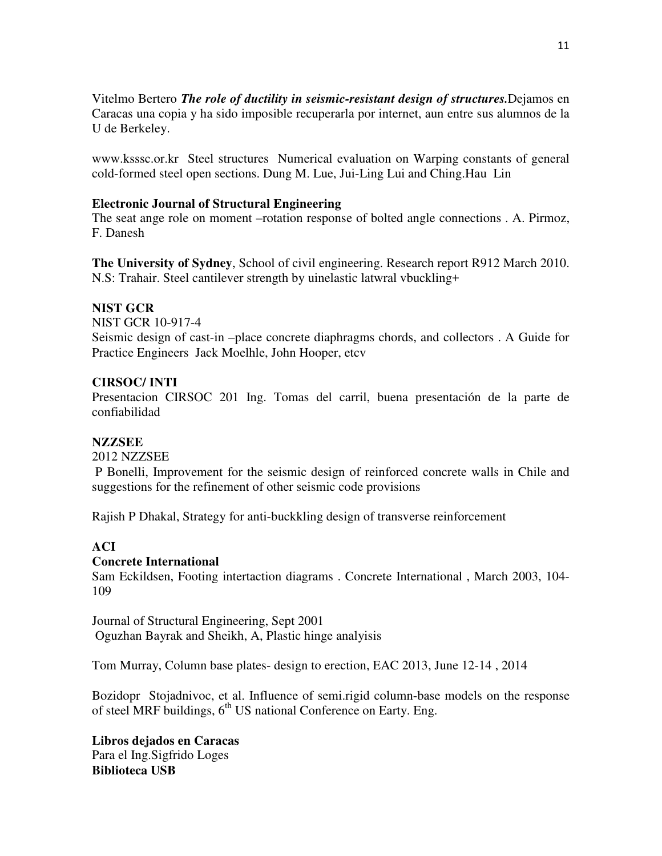Vitelmo Bertero *The role of ductility in seismic-resistant design of structures.*Dejamos en Caracas una copia y ha sido imposible recuperarla por internet, aun entre sus alumnos de la U de Berkeley.

www.ksssc.or.kr Steel structures Numerical evaluation on Warping constants of general cold-formed steel open sections. Dung M. Lue, Jui-Ling Lui and Ching.Hau Lin

### **Electronic Journal of Structural Engineering**

The seat ange role on moment –rotation response of bolted angle connections . A. Pirmoz, F. Danesh

**The University of Sydney**, School of civil engineering. Research report R912 March 2010. N.S: Trahair. Steel cantilever strength by uinelastic latwral vbuckling+

## **NIST GCR**

NIST GCR 10-917-4

Seismic design of cast-in –place concrete diaphragms chords, and collectors . A Guide for Practice Engineers Jack Moelhle, John Hooper, etcv

## **CIRSOC/ INTI**

Presentacion CIRSOC 201 Ing. Tomas del carril, buena presentación de la parte de confiabilidad

### **NZZSEE**

2012 NZZSEE

 P Bonelli, Improvement for the seismic design of reinforced concrete walls in Chile and suggestions for the refinement of other seismic code provisions

Rajish P Dhakal, Strategy for anti-buckkling design of transverse reinforcement

## **ACI**

### **Concrete International**

Sam Eckildsen, Footing intertaction diagrams . Concrete International , March 2003, 104- 109

Journal of Structural Engineering, Sept 2001 Oguzhan Bayrak and Sheikh, A, Plastic hinge analyisis

Tom Murray, Column base plates- design to erection, EAC 2013, June 12-14 , 2014

Bozidopr Stojadnivoc, et al. Influence of semi.rigid column-base models on the response of steel MRF buildings,  $6<sup>th</sup>$  US national Conference on Earty. Eng.

**Libros dejados en Caracas**  Para el Ing.Sigfrido Loges **Biblioteca USB**